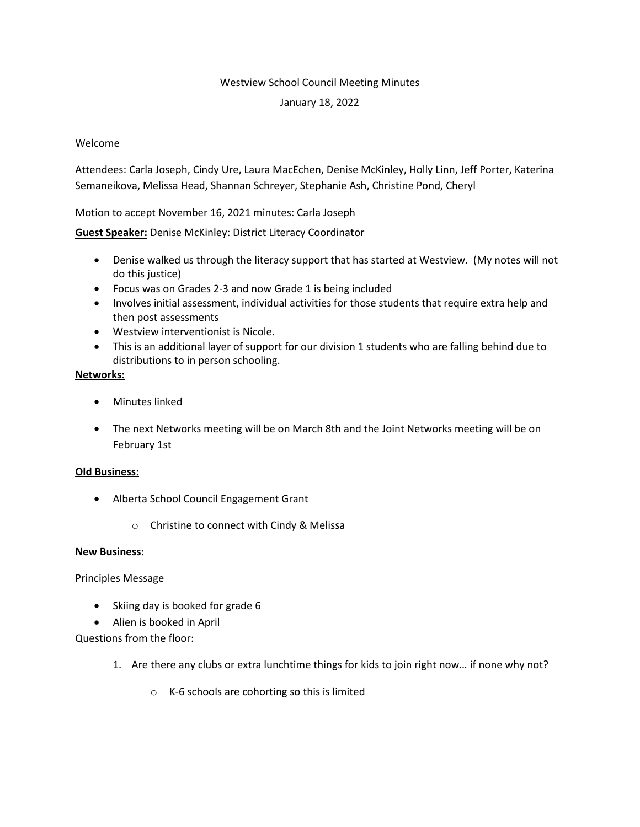### Westview School Council Meeting Minutes

### January 18, 2022

# Welcome

Attendees: Carla Joseph, Cindy Ure, Laura MacEchen, Denise McKinley, Holly Linn, Jeff Porter, Katerina Semaneikova, Melissa Head, Shannan Schreyer, Stephanie Ash, Christine Pond, Cheryl

Motion to accept November 16, 2021 minutes: Carla Joseph

**Guest Speaker:** Denise McKinley: District Literacy Coordinator

- Denise walked us through the literacy support that has started at Westview. (My notes will not do this justice)
- Focus was on Grades 2-3 and now Grade 1 is being included
- Involves initial assessment, individual activities for those students that require extra help and then post assessments
- Westview interventionist is Nicole.
- This is an additional layer of support for our division 1 students who are falling behind due to distributions to in person schooling.

### **Networks:**

- Minutes linked
- The next Networks meeting will be on March 8th and the Joint Networks meeting will be on February 1st

### **Old Business:**

- Alberta School Council Engagement Grant
	- o Christine to connect with Cindy & Melissa

### **New Business:**

Principles Message

- Skiing day is booked for grade 6
- Alien is booked in April

Questions from the floor:

- 1. Are there any clubs or extra lunchtime things for kids to join right now… if none why not?
	- o K-6 schools are cohorting so this is limited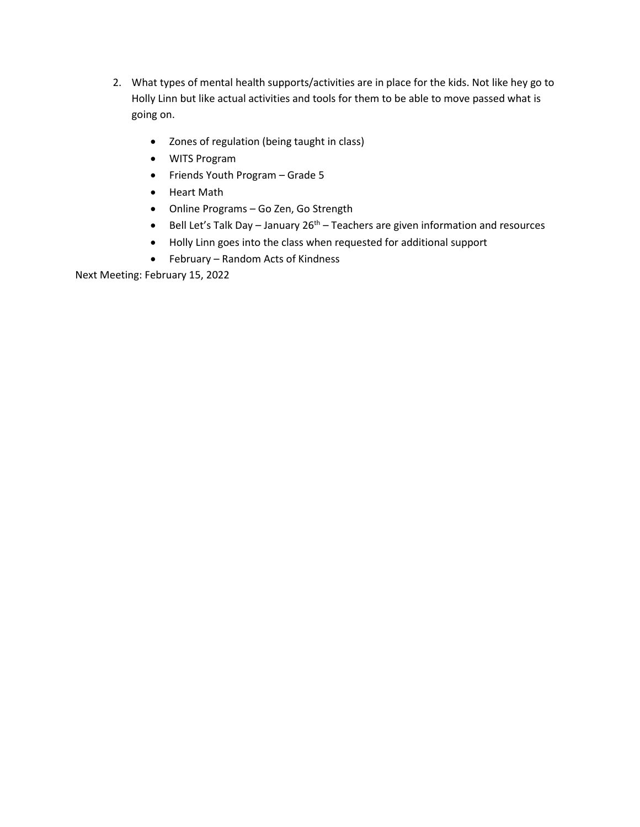- 2. What types of mental health supports/activities are in place for the kids. Not like hey go to Holly Linn but like actual activities and tools for them to be able to move passed what is going on.
	- Zones of regulation (being taught in class)
	- WITS Program
	- Friends Youth Program Grade 5
	- Heart Math
	- Online Programs Go Zen, Go Strength
	- $\bullet$  Bell Let's Talk Day January 26<sup>th</sup> Teachers are given information and resources
	- Holly Linn goes into the class when requested for additional support
	- February Random Acts of Kindness

Next Meeting: February 15, 2022